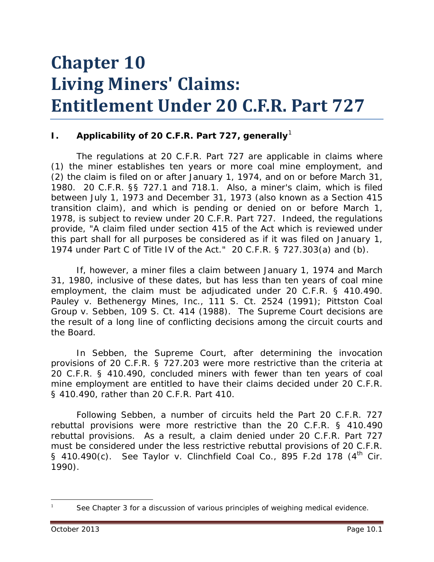# **Chapter 10 Living Miners' Claims: Entitlement Under 20 C.F.R. Part 727**

## **I.** Applicability of 20 C.F.R. Part 727, generally<sup>[1](#page-0-0)</sup>

The regulations at 20 C.F.R. Part 727 are applicable in claims where (1) the miner establishes ten years or more coal mine employment, and (2) the claim is filed on or after January 1, 1974, and on or before March 31, 1980. 20 C.F.R. §§ 727.1 and 718.1. Also, a miner's claim, which is filed between July 1, 1973 and December 31, 1973 (also known as a Section 415 transition claim), and which is pending or denied on or before March 1, 1978, is subject to review under 20 C.F.R. Part 727. Indeed, the regulations provide, "A claim filed under section 415 of the Act which is reviewed under this part shall for all purposes be considered as if it was filed on January 1, 1974 under Part C of Title IV of the Act." 20 C.F.R. § 727.303(a) and (b).

If, however, a miner files a claim between January 1, 1974 and March 31, 1980, inclusive of these dates, but has less than ten years of coal mine employment, the claim must be adjudicated under 20 C.F.R. § 410.490. *Pauley v. Bethenergy Mines, Inc.*, 111 S. Ct. 2524 (1991); *Pittston Coal Group v. Sebben*, 109 S. Ct. 414 (1988). The Supreme Court decisions are the result of a long line of conflicting decisions among the circuit courts and the Board.

In *Sebben*, the Supreme Court, after determining the invocation provisions of 20 C.F.R. § 727.203 were more restrictive than the criteria at 20 C.F.R. § 410.490, concluded miners with fewer than ten years of coal mine employment are entitled to have their claims decided under 20 C.F.R. § 410.490, rather than 20 C.F.R. Part 410.

Following *Sebben*, a number of circuits held the Part 20 C.F.R. 727 rebuttal provisions were more restrictive than the 20 C.F.R. § 410.490 rebuttal provisions. As a result, a claim denied under 20 C.F.R. Part 727 must be considered under the less restrictive rebuttal provisions of 20 C.F.R. § 410.490(c). *See Taylor v. Clinchfield Coal Co.*, 895 F.2d 178 (4th Cir. 1990).

<span id="page-0-0"></span>1

 $\overline{a}$ 

*See* Chapter 3 for a discussion of various principles of weighing medical evidence.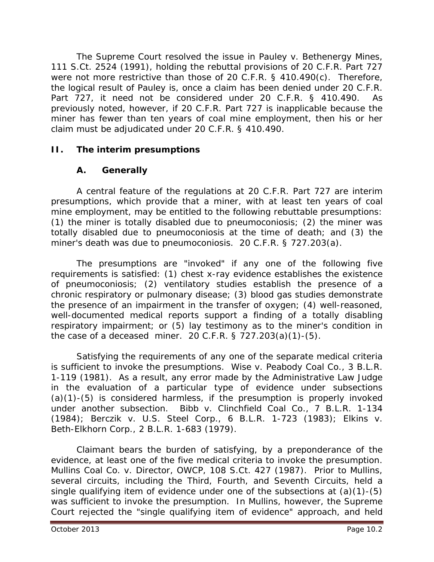The Supreme Court resolved the issue in *Pauley v. Bethenergy Mines*, 111 S.Ct. 2524 (1991), holding the rebuttal provisions of 20 C.F.R. Part 727 were not more restrictive than those of 20 C.F.R. § 410.490(c). Therefore, the logical result of *Pauley* is, once a claim has been denied under 20 C.F.R. Part 727, it need not be considered under 20 C.F.R. § 410.490. As previously noted, however, if 20 C.F.R. Part 727 is inapplicable because the miner has fewer than ten years of coal mine employment, then his or her claim must be adjudicated under 20 C.F.R. § 410.490.

# **II. The interim presumptions**

# **A. Generally**

A central feature of the regulations at 20 C.F.R. Part 727 are interim presumptions, which provide that a miner, with at least ten years of coal mine employment, may be entitled to the following rebuttable presumptions: (1) the miner is totally disabled due to pneumoconiosis; (2) the miner was totally disabled due to pneumoconiosis at the time of death; and (3) the miner's death was due to pneumoconiosis. 20 C.F.R. § 727.203(a).

The presumptions are "invoked" if any one of the following five requirements is satisfied: (1) chest x-ray evidence establishes the existence of pneumoconiosis; (2) ventilatory studies establish the presence of a chronic respiratory or pulmonary disease; (3) blood gas studies demonstrate the presence of an impairment in the transfer of oxygen; (4) well-reasoned, well-documented medical reports support a finding of a totally disabling respiratory impairment; or (5) lay testimony as to the miner's condition in the case of a deceased miner. 20 C.F.R. § 727.203(a)(1)-(5).

Satisfying the requirements of any one of the separate medical criteria is sufficient to invoke the presumptions. *Wise v. Peabody Coal Co.*, 3 B.L.R. 1-119 (1981). As a result, any error made by the Administrative Law Judge in the evaluation of a particular type of evidence under subsections  $(a)(1)-(5)$  is considered harmless, if the presumption is properly invoked under another subsection. *Bibb v. Clinchfield Coal Co.*, 7 B.L.R. 1-134 (1984); *Berczik v. U.S. Steel Corp.*, 6 B.L.R. 1-723 (1983); *Elkins v. Beth-Elkhorn Corp.*, 2 B.L.R. 1-683 (1979).

Claimant bears the burden of satisfying, by a *preponderance of the evidence*, at least one of the five medical criteria to invoke the presumption. *Mullins Coal Co. v. Director, OWCP*, 108 S.Ct. 427 (1987). Prior to *Mullins*, several circuits, including the Third, Fourth, and Seventh Circuits, held a single qualifying item of evidence under one of the subsections at (a)(1)-(5) was sufficient to invoke the presumption. In *Mullins*, however, the Supreme Court rejected the "single qualifying item of evidence" approach, and held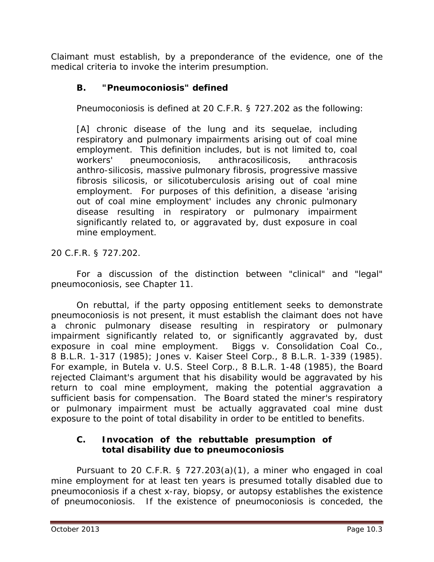Claimant must establish, by a preponderance of the evidence, one of the medical criteria to invoke the interim presumption.

# **B. "Pneumoconiosis" defined**

Pneumoconiosis is defined at 20 C.F.R. § 727.202 as the following:

[A] chronic disease of the lung and its sequelae, including respiratory and pulmonary impairments arising out of coal mine employment. This definition includes, but is not limited to, coal workers' pneumoconiosis, anthracosilicosis, anthracosis anthro-silicosis, massive pulmonary fibrosis, progressive massive fibrosis silicosis, or silicotuberculosis arising out of coal mine employment. For purposes of this definition, a disease 'arising out of coal mine employment' includes any chronic pulmonary disease resulting in respiratory or pulmonary impairment significantly related to, or aggravated by, dust exposure in coal mine employment*.*

20 C.F.R. § 727.202.

For a discussion of the distinction between "clinical" and "legal" pneumoconiosis, *see* Chapter 11.

On rebuttal, if the party opposing entitlement seeks to demonstrate pneumoconiosis is not present, it must establish the claimant does not have a chronic pulmonary disease resulting in respiratory or pulmonary impairment significantly related to, or significantly aggravated by, dust exposure in coal mine employment. *Biggs v. Consolidation Coal Co.*, 8 B.L.R. 1-317 (1985); *Jones v. Kaiser Steel Corp.*, 8 B.L.R. 1-339 (1985). For example, in *Butela v. U.S. Steel Corp.*, 8 B.L.R. 1-48 (1985), the Board rejected Claimant's argument that his disability would be aggravated by his return to coal mine employment, making the potential aggravation a sufficient basis for compensation. The Board stated the miner's respiratory or pulmonary impairment must be actually aggravated coal mine dust exposure to the point of total disability in order to be entitled to benefits.

## **C. Invocation of the rebuttable presumption of total disability due to pneumoconiosis**

Pursuant to 20 C.F.R. § 727.203(a)(1), a miner who engaged in coal mine employment for at least ten years is presumed totally disabled due to pneumoconiosis if a chest x-ray, biopsy, or autopsy establishes the existence of pneumoconiosis. If the existence of pneumoconiosis is conceded, the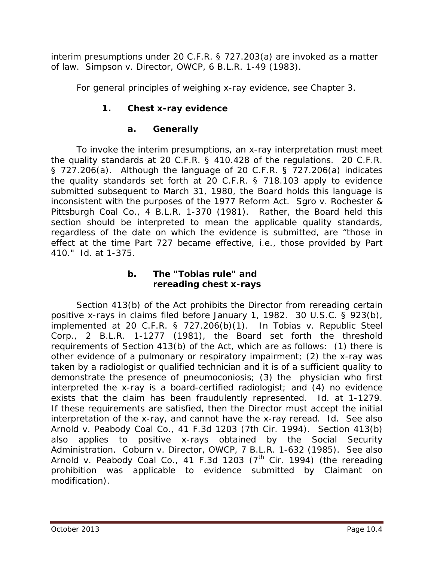interim presumptions under 20 C.F.R. § 727.203(a) are invoked as a matter of law. *Simpson v. Director, OWCP*, 6 B.L.R. 1-49 (1983).

For general principles of weighing x-ray evidence, *see Chapter 3*.

# **1. Chest x-ray evidence**

# **a. Generally**

To invoke the interim presumptions, an x-ray interpretation must meet the quality standards at 20 C.F.R. § 410.428 of the regulations. 20 C.F.R. § 727.206(a). Although the language of 20 C.F.R. § 727.206(a) indicates the quality standards set forth at 20 C.F.R. § 718.103 apply to evidence submitted subsequent to March 31, 1980, the Board holds this language is inconsistent with the purposes of the 1977 Reform Act. *Sgro v. Rochester & Pittsburgh Coal Co.*, 4 B.L.R. 1-370 (1981). Rather, the Board held this section should be interpreted to mean the applicable quality standards, regardless of the date on which the evidence is submitted, are "those in effect at the time Part 727 became effective, *i.e.*, those provided by Part 410." *Id*. at 1-375.

# **b. The "Tobias rule" and rereading chest x-rays**

Section 413(b) of the Act prohibits the Director from rereading certain positive x-rays in claims filed before January 1, 1982. 30 U.S.C. § 923(b), implemented at 20 C.F.R. § 727.206(b)(1). In *Tobias v. Republic Steel Corp.*, 2 B.L.R. 1-1277 (1981), the Board set forth the threshold requirements of Section 413(b) of the Act, which are as follows: (1) there is other evidence of a pulmonary or respiratory impairment; (2) the x-ray was taken by a radiologist or qualified technician and it is of a sufficient quality to demonstrate the presence of pneumoconiosis; (3) the physician who first interpreted the x-ray is a board-certified radiologist; and (4) no evidence exists that the claim has been fraudulently represented. *Id*. at 1-1279. If these requirements are satisfied, then the Director must accept the initial interpretation of the x-ray, and cannot have the x-ray reread. *Id*. *See also Arnold v. Peabody Coal Co.*, 41 F.3d 1203 (7th Cir. 1994). Section 413(b) also applies to positive x-rays obtained by the Social Security Administration. *Coburn v. Director, OWCP*, 7 B.L.R. 1-632 (1985). *See also* Arnold v. Peabody Coal Co., 41 F.3d 1203 (7<sup>th</sup> Cir. 1994) (the rereading prohibition was applicable to evidence submitted by Claimant on modification).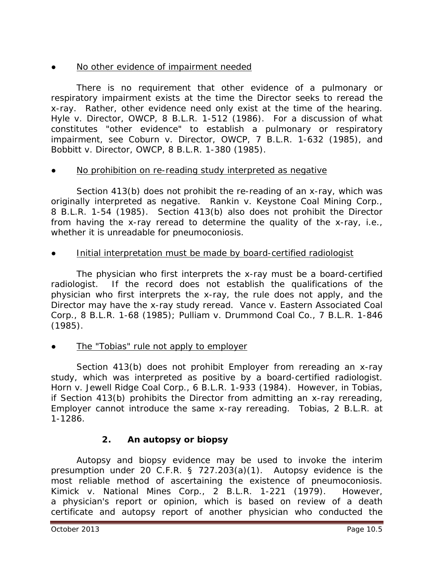# No other evidence of impairment needed

There is no requirement that other evidence of a pulmonary or respiratory impairment exists at the time the Director seeks to reread the x-ray. Rather, other evidence need only exist at the time of the hearing. *Hyle v. Director, OWCP*, 8 B.L.R. 1-512 (1986). For a discussion of what constitutes "other evidence" to establish a pulmonary or respiratory impairment, *see Coburn v. Director, OWCP*, 7 B.L.R. 1-632 (1985), and *Bobbitt v. Director, OWCP*, 8 B.L.R. 1-380 (1985).

## No prohibition on re-reading study interpreted as negative

Section 413(b) does not prohibit the re-reading of an x-ray, which was originally interpreted as negative. *Rankin v. Keystone Coal Mining Corp.*, 8 B.L.R. 1-54 (1985). Section 413(b) also does not prohibit the Director from having the x-ray reread to determine the quality of the x-ray, *i.e.*, whether it is unreadable for pneumoconiosis.

Initial interpretation must be made by board-certified radiologist

The physician who first interprets the x-ray must be a board-certified radiologist. If the record does not establish the qualifications of the physician who first interprets the x-ray, the rule does not apply, and the Director may have the x-ray study reread. *Vance v. Eastern Associated Coal Corp.*, 8 B.L.R. 1-68 (1985); *Pulliam v. Drummond Coal Co.*, 7 B.L.R. 1-846 (1985).

The "Tobias" rule not apply to employer

Section 413(b) does not prohibit Employer from rereading an x-ray study, which was interpreted as positive by a board-certified radiologist. *Horn v. Jewell Ridge Coal Corp.*, 6 B.L.R. 1-933 (1984). However, in *Tobias*, if Section 413(b) prohibits the Director from admitting an x-ray rereading, Employer cannot introduce the same x-ray rereading. *Tobias*, 2 B.L.R. at 1-1286.

# **2. An autopsy or biopsy**

Autopsy and biopsy evidence may be used to invoke the interim presumption under 20 C.F.R. § 727.203(a)(1). Autopsy evidence is the most reliable method of ascertaining the existence of pneumoconiosis. *Kimick v. National Mines Corp.*, 2 B.L.R. 1-221 (1979). However, a physician's report or opinion, which is based on review of a death certificate and autopsy report of another physician who conducted the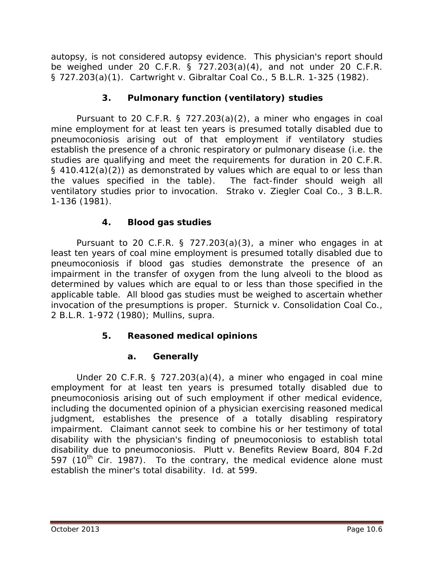autopsy, is not considered autopsy evidence. This physician's report should be weighed under 20 C.F.R. § 727.203(a)(4), and not under 20 C.F.R. § 727.203(a)(1). *Cartwright v. Gibraltar Coal Co.*, 5 B.L.R. 1-325 (1982).

# **3. Pulmonary function (ventilatory) studies**

Pursuant to 20 C.F.R. § 727.203(a)(2), a miner who engages in coal mine employment for at least ten years is presumed totally disabled due to pneumoconiosis arising out of that employment if ventilatory studies establish the presence of a chronic respiratory or pulmonary disease (*i.e.* the studies are qualifying and meet the requirements for duration in 20 C.F.R. § 410.412(a)(2)) as demonstrated by values which are equal to or less than the values specified in the table). The fact-finder should weigh all ventilatory studies prior to invocation. *Strako v. Ziegler Coal Co.*, 3 B.L.R. 1-136 (1981).

# **4. Blood gas studies**

Pursuant to 20 C.F.R.  $\S$  727.203(a)(3), a miner who engages in at least ten years of coal mine employment is presumed totally disabled due to pneumoconiosis if blood gas studies demonstrate the presence of an impairment in the transfer of oxygen from the lung alveoli to the blood as determined by values which are equal to or less than those specified in the applicable table. All blood gas studies must be weighed to ascertain whether invocation of the presumptions is proper. *Sturnick v. Consolidation Coal Co.*, 2 B.L.R. 1-972 (1980); *Mullins, supra.*

# **5. Reasoned medical opinions**

# **a. Generally**

Under 20 C.F.R. § 727.203(a)(4), a miner who engaged in coal mine employment for at least ten years is presumed totally disabled due to pneumoconiosis arising out of such employment if other medical evidence, including the documented opinion of a physician exercising reasoned medical judgment, establishes the presence of a totally disabling respiratory impairment. Claimant cannot seek to combine his or her testimony of total disability with the physician's finding of pneumoconiosis to establish total disability due to pneumoconiosis. *Plutt v. Benefits Review Board*, 804 F.2d 597 ( $10^{th}$  Cir. 1987). To the contrary, the medical evidence alone must establish the miner's total disability. *Id*. at 599.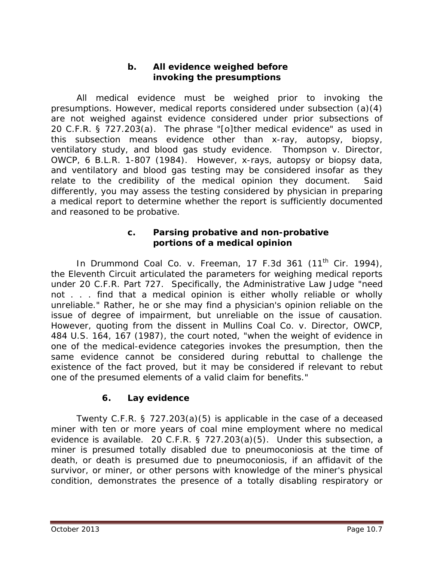#### **b. All evidence weighed before invoking the presumptions**

All medical evidence must be weighed prior to invoking the presumptions. However, medical reports considered under subsection (a)(4) are not weighed against evidence considered under prior subsections of 20 C.F.R. § 727.203(a). The phrase "[o]ther medical evidence" as used in this subsection means evidence other than x-ray, autopsy, biopsy, ventilatory study, and blood gas study evidence. *Thompson v. Director, OWCP*, 6 B.L.R. 1-807 (1984). However, x-rays, autopsy or biopsy data, and ventilatory and blood gas testing may be considered insofar as they relate to the credibility of the medical opinion they document. Said differently, you may assess the testing considered by physician in preparing a medical report to determine whether the report is sufficiently documented and reasoned to be probative.

#### **c. Parsing probative and non-probative portions of a medical opinion**

In *Drummond Coal Co. v. Freeman*, 17 F.3d 361 (11th Cir. 1994), the Eleventh Circuit articulated the parameters for weighing medical reports under 20 C.F.R. Part 727. Specifically, the Administrative Law Judge "need not . . . find that a medical opinion is either wholly reliable or wholly unreliable." Rather, he or she may find a physician's opinion reliable on the issue of degree of impairment, but unreliable on the issue of causation. However, quoting from the dissent in *Mullins Coal Co. v. Director, OWCP*, 484 U.S. 164, 167 (1987), the court noted, "when the weight of evidence in one of the medical-evidence categories invokes the presumption, then the same evidence cannot be considered during rebuttal to challenge the existence of the fact proved, but it may be considered if relevant to rebut one of the presumed elements of a valid claim for benefits."

# **6. Lay evidence**

Twenty C.F.R. § 727.203(a)(5) is applicable in the case of a deceased miner with ten or more years of coal mine employment where no medical evidence is available. 20 C.F.R. § 727.203(a)(5). Under this subsection, a miner is presumed totally disabled due to pneumoconiosis at the time of death, or death is presumed due to pneumoconiosis, if an affidavit of the survivor, or miner, or other persons with knowledge of the miner's physical condition, demonstrates the presence of a totally disabling respiratory or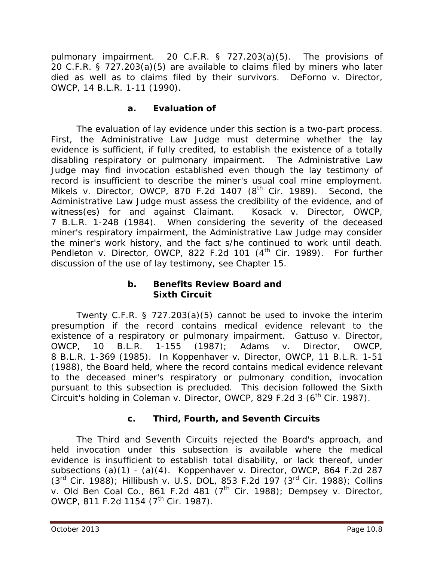pulmonary impairment. 20 C.F.R. § 727.203(a)(5). The provisions of 20 C.F.R. § 727.203(a)(5) are available to claims filed by miners who later died as well as to claims filed by their survivors. *DeForno v. Director, OWCP*, 14 B.L.R. 1-11 (1990).

#### **a. Evaluation of**

The evaluation of lay evidence under this section is a two-part process. First, the Administrative Law Judge must determine whether the lay evidence is sufficient, if fully credited, to establish the existence of a totally disabling respiratory or pulmonary impairment. The Administrative Law Judge may find invocation established even though the lay testimony of record is insufficient to describe the miner's usual coal mine employment. *Mikels v. Director, OWCP*, 870 F.2d 1407 (8<sup>th</sup> Cir. 1989). Second, the Administrative Law Judge must assess the credibility of the evidence, and of witness(es) for and against Claimant. *Kosack v. Director, OWCP*, 7 B.L.R. 1-248 (1984). When considering the severity of the deceased miner's respiratory impairment, the Administrative Law Judge may consider the miner's work history, and the fact s/he continued to work until death. *Pendleton v. Director, OWCP*, 822 F.2d 101 (4<sup>th</sup> Cir. 1989). For further discussion of the use of lay testimony, *see* Chapter 15.

#### **b. Benefits Review Board and Sixth Circuit**

Twenty C.F.R. § 727.203(a)(5) cannot be used to invoke the interim presumption if the record contains medical evidence relevant to the existence of a respiratory or pulmonary impairment. *Gattuso v. Director, OWCP*, 10 B.L.R. 1-155 (1987); *Adams v. Director, OWCP*, 8 B.L.R. 1-369 (1985). In *Koppenhaver v. Director, OWCP*, 11 B.L.R. 1-51 (1988), the Board held, where the record contains medical evidence relevant to the deceased miner's respiratory or pulmonary condition, invocation pursuant to this subsection is precluded. This decision followed the Sixth Circuit's holding in *Coleman v. Director, OWCP*, 829 F.2d 3 (6<sup>th</sup> Cir. 1987).

# **c. Third, Fourth, and Seventh Circuits**

The Third and Seventh Circuits rejected the Board's approach, and held invocation under this subsection is available where the medical evidence is insufficient to establish total disability, or lack thereof, under subsections (a)(1) - (a)(4). *Koppenhaver v. Director, OWCP*, 864 F.2d 287 (3rd Cir. 1988); *Hillibush v. U.S. DOL*, 853 F.2d 197 (3rd Cir. 1988); *Collins v. Old Ben Coal Co.*, 861 F.2d 481 (7th Cir. 1988); *Dempsey v. Director, OWCP*, 811 F.2d 1154 (7<sup>th</sup> Cir. 1987).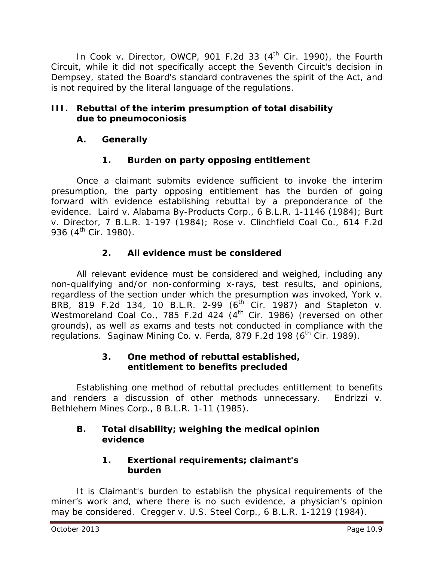In *Cook v. Director, OWCP*, 901 F.2d 33 (4<sup>th</sup> Cir. 1990), the Fourth Circuit, while it did not specifically accept the Seventh Circuit's decision in *Dempsey*, stated the Board's standard contravenes the spirit of the Act, and is not required by the literal language of the regulations.

# **III. Rebuttal of the interim presumption of total disability due to pneumoconiosis**

# **A. Generally**

# **1. Burden on party opposing entitlement**

Once a claimant submits evidence sufficient to invoke the interim presumption, the party opposing entitlement has the burden of going forward with evidence establishing rebuttal by a preponderance of the evidence. *Laird v. Alabama By-Products Corp.*, 6 B.L.R. 1-1146 (1984); *Burt v. Director*, 7 B.L.R. 1-197 (1984)*; Rose v. Clinchfield Coal Co.*, 614 F.2d 936 (4<sup>th</sup> Cir. 1980).

# **2. All evidence must be considered**

All relevant evidence must be considered and weighed, including any non-qualifying and/or non-conforming x-rays, test results, and opinions, regardless of the section under which the presumption was invoked, *York v. BRB*, 819 F.2d 134, 10 B.L.R. 2-99 (6<sup>th</sup> Cir. 1987) and *Stapleton v. Westmoreland Coal Co.*, 785 F.2d 424 (4<sup>th</sup> Cir. 1986) (reversed on other grounds), as well as exams and tests not conducted in compliance with the regulations. *Saginaw Mining Co. v. Ferda*, 879 F.2d 198 (6<sup>th</sup> Cir. 1989).

## **3. One method of rebuttal established, entitlement to benefits precluded**

Establishing one method of rebuttal precludes entitlement to benefits and renders a discussion of other methods unnecessary. *Endrizzi v. Bethlehem Mines Corp.*, 8 B.L.R. 1-11 (1985).

# **B. Total disability; weighing the medical opinion evidence**

# **1. Exertional requirements; claimant's burden**

It is Claimant's burden to establish the physical requirements of the miner's work and, where there is no such evidence, a physician's opinion may be considered. *Cregger v. U.S. Steel Corp.*, 6 B.L.R. 1-1219 (1984).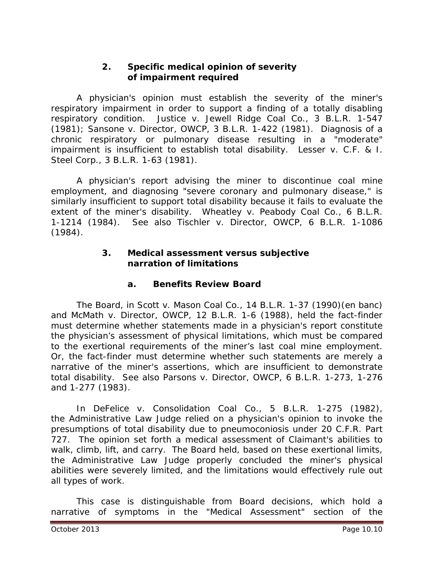#### **2. Specific medical opinion of severity of impairment required**

A physician's opinion must establish the severity of the miner's respiratory impairment in order to support a finding of a totally disabling respiratory condition. *Justice v. Jewell Ridge Coal Co.*, 3 B.L.R. 1-547 (1981); *Sansone v. Director, OWCP*, 3 B.L.R. 1-422 (1981). Diagnosis of a chronic respiratory or pulmonary disease resulting in a "moderate" impairment is insufficient to establish total disability. *Lesser v. C.F. & I. Steel Corp.*, 3 B.L.R. 1-63 (1981).

A physician's report advising the miner to discontinue coal mine employment, and diagnosing "severe coronary and pulmonary disease," is similarly insufficient to support total disability because it fails to evaluate the extent of the miner's disability. *Wheatley v. Peabody Coal Co.*, 6 B.L.R. 1-1214 (1984). *See also Tischler v. Director, OWCP*, 6 B.L.R. 1-1086 (1984).

#### **3. Medical assessment versus subjective narration of limitations**

# **a. Benefits Review Board**

The Board, in *Scott v. Mason Coal Co.*, 14 B.L.R. 1-37 (1990)(en banc) and *McMath v. Director, OWCP*, 12 B.L.R. 1-6 (1988), held the fact-finder must determine whether statements made in a physician's report constitute the physician's assessment of physical limitations, which must be compared to the exertional requirements of the miner's last coal mine employment. Or, the fact-finder must determine whether such statements are merely a narrative of the miner's assertions, which are insufficient to demonstrate total disability. *See also Parsons v. Director, OWCP*, 6 B.L.R. 1-273, 1-276 and 1-277 (1983).

In *DeFelice v. Consolidation Coal Co.*, 5 B.L.R. 1-275 (1982), the Administrative Law Judge relied on a physician's opinion to invoke the presumptions of total disability due to pneumoconiosis under 20 C.F.R. Part 727. The opinion set forth a medical assessment of Claimant's abilities to walk, climb, lift, and carry. The Board held, based on these exertional limits, the Administrative Law Judge properly concluded the miner's physical abilities were severely limited, and the limitations would effectively rule out all types of work.

This case is distinguishable from Board decisions, which hold a narrative of symptoms in the "Medical Assessment" section of the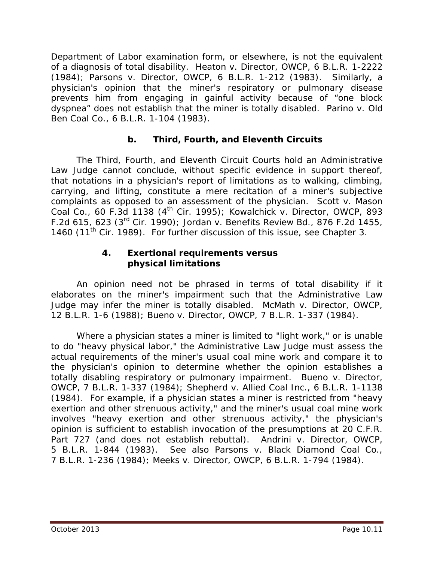Department of Labor examination form, or elsewhere, is not the equivalent of a diagnosis of total disability. *Heaton v. Director, OWCP*, 6 B.L.R. 1-2222 (1984); *Parsons v. Director, OWCP*, 6 B.L.R. 1-212 (1983). Similarly, a physician's opinion that the miner's respiratory or pulmonary disease prevents him from engaging in gainful activity because of "one block dyspnea" does not establish that the miner is totally disabled. *Parino v. Old Ben Coal Co.*, 6 B.L.R. 1-104 (1983).

# **b. Third, Fourth, and Eleventh Circuits**

The Third, Fourth, and Eleventh Circuit Courts hold an Administrative Law Judge cannot conclude, without specific evidence in support thereof, that notations in a physician's report of limitations as to walking, climbing, carrying, and lifting, constitute a mere recitation of a miner's subjective complaints as opposed to an assessment of the physician. *Scott v. Mason Coal Co.*, 60 F.3d 1138 (4th Cir. 1995); *Kowalchick v. Director, OWCP*, 893 F.2d 615, 623 (3rd Cir. 1990); *Jordan v. Benefits Review Bd.*, 876 F.2d 1455, 1460 (11th Cir. 1989). For further discussion of this issue, *see* Chapter 3.

#### **4. Exertional requirements versus physical limitations**

An opinion need not be phrased in terms of total disability if it elaborates on the miner's impairment such that the Administrative Law Judge may infer the miner is totally disabled. *McMath v. Director, OWCP*, 12 B.L.R. 1-6 (1988); *Bueno v. Director, OWCP*, 7 B.L.R. 1-337 (1984).

Where a physician states a miner is limited to "light work," or is unable to do "heavy physical labor," the Administrative Law Judge must assess the actual requirements of the miner's usual coal mine work and compare it to the physician's opinion to determine whether the opinion establishes a totally disabling respiratory or pulmonary impairment. *Bueno v. Director, OWCP*, 7 B.L.R. 1-337 (1984); *Shepherd v. Allied Coal Inc.*, 6 B.L.R. 1-1138 (1984). For example, if a physician states a miner is restricted from "heavy exertion and other strenuous activity," and the miner's usual coal mine work involves "heavy exertion and other strenuous activity," the physician's opinion is sufficient to establish invocation of the presumptions at 20 C.F.R. Part 727 (and does not establish rebuttal). *Andrini v. Director, OWCP*, 5 B.L.R. 1-844 (1983). *See also Parsons v. Black Diamond Coal Co.*, 7 B.L.R. 1-236 (1984); *Meeks v. Director, OWCP*, 6 B.L.R. 1-794 (1984).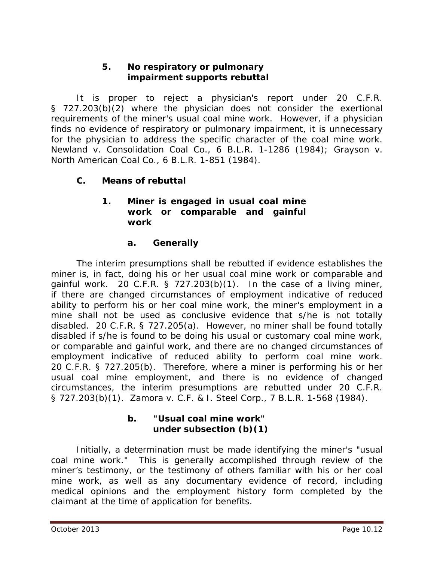#### **5. No respiratory or pulmonary impairment supports rebuttal**

It is proper to reject a physician's report under 20 C.F.R. § 727.203(b)(2) where the physician does not consider the exertional requirements of the miner's usual coal mine work. However, if a physician finds no evidence of respiratory or pulmonary impairment, it is unnecessary for the physician to address the specific character of the coal mine work. *Newland v. Consolidation Coal Co*., 6 B.L.R. 1-1286 (1984); *Grayson v. North American Coal Co*., 6 B.L.R. 1-851 (1984).

# **C. Means of rebuttal**

## **1. Miner is engaged in usual coal mine work or comparable and gainful work**

## **a. Generally**

The interim presumptions shall be rebutted if evidence establishes the miner is, in fact, doing his or her usual coal mine work or comparable and gainful work. 20 C.F.R.  $\S$  727.203(b)(1). In the case of a living miner, if there are changed circumstances of employment indicative of reduced ability to perform his or her coal mine work, the miner's employment in a mine shall not be used as conclusive evidence that s/he is not totally disabled. 20 C.F.R. § 727.205(a). However, no miner shall be found totally disabled if s/he is found to be doing his usual or customary coal mine work, or comparable and gainful work, and there are no changed circumstances of employment indicative of reduced ability to perform coal mine work. 20 C.F.R. § 727.205(b). Therefore, where a miner is performing his or her usual coal mine employment, and there is no evidence of changed circumstances, the interim presumptions are rebutted under 20 C.F.R. § 727.203(b)(1). *Zamora v. C.F. & I. Steel Corp*., 7 B.L.R. 1-568 (1984).

#### **b. "Usual coal mine work" under subsection (b)(1)**

Initially, a determination must be made identifying the miner's "usual coal mine work." This is generally accomplished through review of the miner's testimony, or the testimony of others familiar with his or her coal mine work, as well as any documentary evidence of record, including medical opinions and the employment history form completed by the claimant at the time of application for benefits.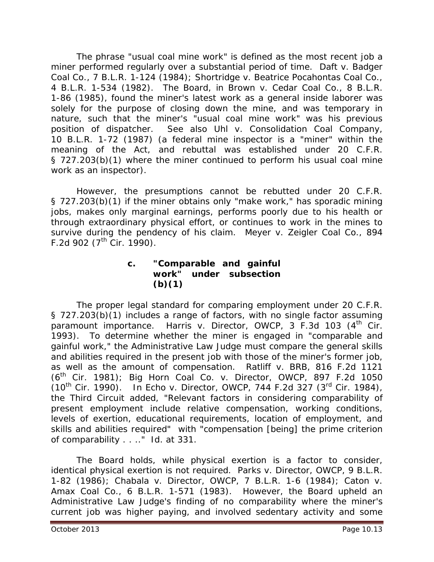The phrase "usual coal mine work" is defined as the most recent job a miner performed regularly over a substantial period of time. *Daft v. Badger Coal Co*., 7 B.L.R. 1-124 (1984); *Shortridge v. Beatrice Pocahontas Coal Co*., 4 B.L.R. 1-534 (1982). The Board, in *Brown v. Cedar Coal Co*., 8 B.L.R. 1-86 (1985), found the miner's latest work as a general inside laborer was solely for the purpose of closing down the mine, and was temporary in nature, such that the miner's "usual coal mine work" was his previous position of dispatcher. *See also Uhl v. Consolidation Coal Company*, 10 B.L.R. 1-72 (1987) (a federal mine inspector is a "miner" within the meaning of the Act, and rebuttal was established under 20 C.F.R. § 727.203(b)(1) where the miner continued to perform his usual coal mine work as an inspector).

However, the presumptions cannot be rebutted under 20 C.F.R. § 727.203(b)(1) if the miner obtains only "make work," has sporadic mining jobs, makes only marginal earnings, performs poorly due to his health or through extraordinary physical effort, or continues to work in the mines to survive during the pendency of his claim. *Meyer v. Zeigler Coal Co.*, 894 F.2d 902  $(7^{th}$  Cir. 1990).

#### **c. "Comparable and gainful work" under subsection (b)(1)**

The proper legal standard for comparing employment under 20 C.F.R. § 727.203(b)(1) includes a range of factors, with no single factor assuming paramount importance. *Harris v. Director, OWCP*, 3 F.3d 103 (4<sup>th</sup> Cir. 1993). To determine whether the miner is engaged in "comparable and gainful work," the Administrative Law Judge must compare the general skills and abilities required in the present job with those of the miner's former job, as well as the amount of compensation. *Ratliff v. BRB*, 816 F.2d 1121 (6th Cir. 1981); *Big Horn Coal Co. v. Director, OWCP*, 897 F.2d 1050 (10th Cir. 1990). In *Echo v. Director, OWCP*, 744 F.2d 327 (3rd Cir. 1984), the Third Circuit added, "Relevant factors in considering comparability of present employment include relative compensation, working conditions, levels of exertion, educational requirements, location of employment, and skills and abilities required" with "compensation [being] the prime criterion of comparability . . .." *Id*. at 331.

The Board holds, while physical exertion is a factor to consider, identical physical exertion is not required. *Parks v. Director, OWCP*, 9 B.L.R. 1-82 (1986); *Chabala v. Director, OWCP*, 7 B.L.R. 1-6 (1984); *Caton v. Amax Coal Co*., 6 B.L.R. 1-571 (1983). However, the Board upheld an Administrative Law Judge's finding of no comparability where the miner's current job was higher paying, and involved sedentary activity and some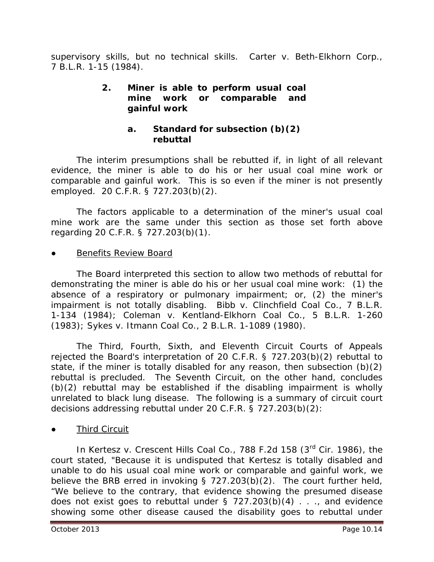supervisory skills, but no technical skills. *Carter v. Beth-Elkhorn Corp*., 7 B.L.R. 1-15 (1984).

#### **2. Miner is** *able* **to perform usual coal mine work or comparable and gainful work**

# **a. Standard for subsection (b)(2) rebuttal**

The interim presumptions shall be rebutted if, in light of all relevant evidence, the miner is *able* to do his or her usual coal mine work or comparable and gainful work. This is so even if the miner is not presently employed. 20 C.F.R. § 727.203(b)(2).

The factors applicable to a determination of the miner's usual coal mine work are the same under this section as those set forth above regarding 20 C.F.R. § 727.203(b)(1).

#### Benefits Review Board

The Board interpreted this section to allow two methods of rebuttal for demonstrating the miner is *able* do his or her usual coal mine work: (1) the absence of a respiratory or pulmonary impairment; or, (2) the miner's impairment is not totally disabling. *Bibb v. Clinchfield Coal Co*., 7 B.L.R. 1-134 (1984); *Coleman v. Kentland-Elkhorn Coal Co*., 5 B.L.R. 1-260 (1983); *Sykes v. Itmann Coal Co*., 2 B.L.R. 1-1089 (1980).

The Third, Fourth, Sixth, and Eleventh Circuit Courts of Appeals rejected the Board's interpretation of 20 C.F.R. § 727.203(b)(2) rebuttal to state, if the miner is totally disabled *for any reason*, then subsection (b)(2) rebuttal is precluded. The Seventh Circuit, on the other hand, concludes (b)(2) rebuttal may be established if the disabling impairment is wholly unrelated to black lung disease. The following is a summary of circuit court decisions addressing rebuttal under 20 C.F.R. § 727.203(b)(2):

**Third Circuit** 

In *Kertesz v. Crescent Hills Coal Co.*, 788 F.2d 158 (3rd Cir. 1986), the court stated, "Because it is undisputed that Kertesz is totally disabled and unable to do his usual coal mine work or comparable and gainful work, we believe the BRB erred in invoking § 727.203(b)(2). The court further held, "We believe to the contrary, that evidence showing the presumed disease does not exist goes to rebuttal under  $\S$  727.203(b)(4) . . ., and evidence showing some other disease caused the disability goes to rebuttal under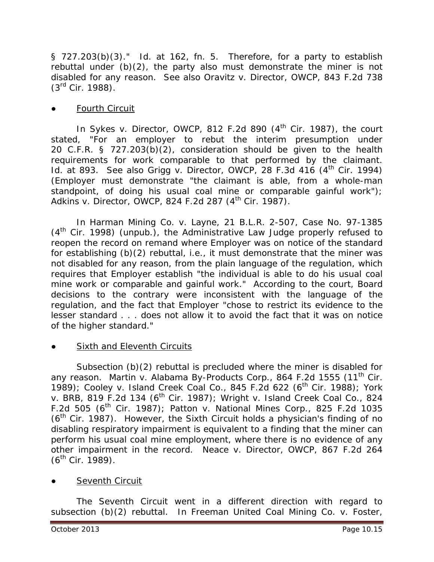§ 727.203(b)(3)." *Id*. at 162, fn. 5. Therefore, for a party to establish rebuttal under (b)(2), the party also must demonstrate the miner is not disabled for *any* reason. *See also Oravitz v. Director, OWCP*, 843 F.2d 738  $(3^{rd}$  Cir. 1988).

#### **Fourth Circuit**

In *Sykes v. Director, OWCP*, 812 F.2d 890 (4<sup>th</sup> Cir. 1987), the court stated, "For an employer to rebut the interim presumption under 20 C.F.R. § 727.203(b)(2), consideration should be given to the health requirements for work comparable to that performed by the claimant. *Id.* at 893. *See also Grigg v. Director, OWCP*, 28 F.3d 416 (4<sup>th</sup> Cir. 1994) (Employer must demonstrate "the claimant is able, from a whole-man standpoint, of doing his usual coal mine or comparable gainful work"); *Adkins v. Director, OWCP, 824 F.2d 287 (4<sup>th</sup> Cir. 1987).* 

In *Harman Mining Co. v. Layne*, 21 B.L.R. 2-507, Case No. 97-1385  $(4<sup>th</sup>$  Cir. 1998) (unpub.), the Administrative Law Judge properly refused to reopen the record on remand where Employer was on notice of the standard for establishing (b)(2) rebuttal, *i.e.,* it must demonstrate that the miner was not disabled for any reason, from the plain language of the regulation, which requires that Employer establish "the individual is able to do his usual coal mine work or comparable and gainful work." According to the court, Board decisions to the contrary were inconsistent with the language of the regulation, and the fact that Employer "chose to restrict its evidence to the lesser standard . . . does not allow it to avoid the fact that it was on notice of the higher standard."

#### ● Sixth and Eleventh Circuits

Subsection (b)(2) rebuttal is precluded where the miner is disabled for *any* reason. *Martin v. Alabama By-Products Corp.*, 864 F.2d 1555 (11th Cir. 1989); *Cooley v. Island Creek Coal Co*., 845 F.2d 622 (6th Cir. 1988)*; York v. BRB*, 819 F.2d 134 (6th Cir. 1987); *Wright v. Island Creek Coal Co*., 824 F.2d 505 (6th Cir. 1987); *Patton v. National Mines Corp*., 825 F.2d 1035  $(6<sup>th</sup>$  Cir. 1987). However, the Sixth Circuit holds a physician's finding of no disabling respiratory impairment is equivalent to a finding that the miner can perform his usual coal mine employment, where there is no evidence of any other impairment in the record. *Neace v. Director, OWCP*, 867 F.2d 264  $(6^{th}$  Cir. 1989).

#### Seventh Circuit

The Seventh Circuit went in a different direction with regard to subsection (b)(2) rebuttal. In *Freeman United Coal Mining Co. v. Foster*,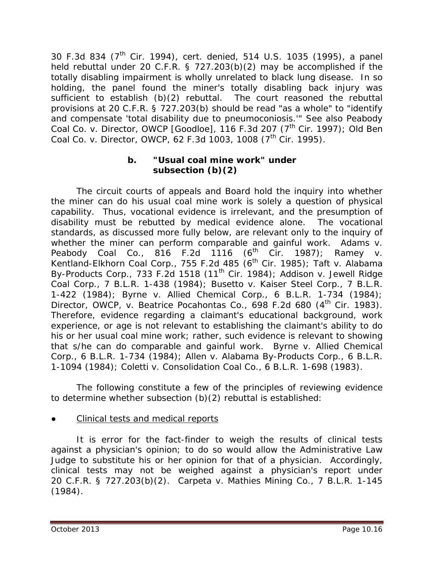30 F.3d 834 (7th Cir. 1994), *cert. denied*, 514 U.S. 1035 (1995), a panel held rebuttal under 20 C.F.R. § 727.203(b)(2) may be accomplished if the totally disabling impairment is wholly unrelated to black lung disease. In so holding, the panel found the miner's totally disabling back injury was sufficient to establish (b)(2) rebuttal. The court reasoned the rebuttal provisions at 20 C.F.R. § 727.203(b) should be read "as a whole" to "identify and compensate 'total disability due to pneumoconiosis.'" *See also Peabody Coal Co. v. Director, OWCP [Goodloe]*, 116 F.3d 207 (7th Cir. 1997); *Old Ben Coal Co. v. Director, OWCP*, 62 F.3d 1003, 1008 (7<sup>th</sup> Cir. 1995).

#### **b. "Usual coal mine work" under subsection (b)(2)**

The circuit courts of appeals and Board hold the inquiry into whether the miner can do his usual coal mine work is solely a question of physical capability. Thus, vocational evidence is irrelevant, and the presumption of disability must be rebutted by medical evidence alone. The vocational standards, as discussed more fully below, are relevant only to the inquiry of whether the miner can perform *comparable and gainful* work. *Adams v. Peabody Coal Co.*, 816 F.2d 1116 (6<sup>th</sup> Cir. 1987); *Ramey v. Kentland-Elkhorn Coal Corp*., 755 F.2d 485 (6th Cir. 1985); *Taft v. Alabama By-Products Corp*., 733 F.2d 1518 (11th Cir. 1984); *Addison v. Jewell Ridge Coal Corp*., 7 B.L.R. 1-438 (1984); *Busetto v. Kaiser Steel Corp*., 7 B.L.R. 1-422 (1984); *Byrne v. Allied Chemical Corp*., 6 B.L.R. 1-734 (1984); *Director, OWCP, v. Beatrice Pocahontas Co*., 698 F.2d 680 (4th Cir. 1983). Therefore, evidence regarding a claimant's educational background, work experience, or age is not relevant to establishing the claimant's ability to do his or her usual coal mine work; rather, such evidence is relevant to showing that s/he can do comparable and gainful work. *Byrne v. Allied Chemical Corp*., 6 B.L.R. 1-734 (1984); *Allen v. Alabama By-Products Corp*., 6 B.L.R. 1-1094 (1984); *Coletti v. Consolidation Coal Co*., 6 B.L.R. 1-698 (1983).

The following constitute a few of the principles of reviewing evidence to determine whether subsection (b)(2) rebuttal is established:

#### Clinical tests and medical reports

It is error for the fact-finder to weigh the results of clinical tests against a physician's opinion; to do so would allow the Administrative Law Judge to substitute his or her opinion for that of a physician. Accordingly, clinical tests may not be weighed against a physician's report under 20 C.F.R. § 727.203(b)(2). *Carpeta v. Mathies Mining Co*., 7 B.L.R. 1-145 (1984).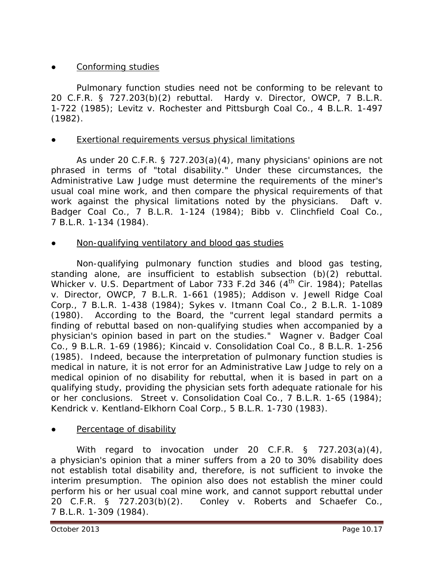# Conforming studies

Pulmonary function studies need not be conforming to be relevant to 20 C.F.R. § 727.203(b)(2) rebuttal. *Hardy v. Director, OWCP*, 7 B.L.R. 1-722 (1985); *Levitz v. Rochester and Pittsburgh Coal Co*., 4 B.L.R. 1-497 (1982).

#### Exertional requirements versus physical limitations

As under 20 C.F.R. § 727.203(a)(4), many physicians' opinions are not phrased in terms of "total disability." Under these circumstances, the Administrative Law Judge must determine the requirements of the miner's usual coal mine work, and then compare the physical requirements of that work against the physical limitations noted by the physicians. *Daft v. Badger Coal Co*., 7 B.L.R. 1-124 (1984); *Bibb v. Clinchfield Coal Co*., 7 B.L.R. 1-134 (1984).

## Non-qualifying ventilatory and blood gas studies

Non-qualifying pulmonary function studies and blood gas testing, standing alone, are insufficient to establish subsection (b)(2) rebuttal. *Whicker v. U.S. Department of Labor* 733 F.2d 346 (4<sup>th</sup> Cir. 1984); *Patellas v. Director, OWCP*, 7 B.L.R. 1-661 (1985); *Addison v. Jewell Ridge Coal Corp*., 7 B.L.R. 1-438 (1984); *Sykes v. Itmann Coal Co*., 2 B.L.R. 1-1089 (1980). According to the Board, the "current legal standard permits a finding of rebuttal based on non-qualifying studies when accompanied by a physician's opinion based in part on the studies." *Wagner v. Badger Coal Co*., 9 B.L.R. 1-69 (1986); *Kincaid v. Consolidation Coal Co*., 8 B.L.R. 1-256 (1985). Indeed, because the interpretation of pulmonary function studies is medical in nature, it is not error for an Administrative Law Judge to rely on a medical opinion of no disability for rebuttal, when it is based in part on a qualifying study, providing the physician sets forth adequate rationale for his or her conclusions. *Street v. Consolidation Coal Co.*, 7 B.L.R. 1-65 (1984); *Kendrick v. Kentland-Elkhorn Coal Corp*., 5 B.L.R. 1-730 (1983).

#### Percentage of disability

With regard to invocation under 20 C.F.R. § 727.203(a)(4), a physician's opinion that a miner suffers from a 20 to 30% disability does not establish total disability and, therefore, is not sufficient to invoke the interim presumption. The opinion also does not establish the miner could perform his or her usual coal mine work, and cannot support rebuttal under 20 C.F.R. § 727.203(b)(2). *Conley v. Roberts and Schaefer Co*., 7 B.L.R. 1-309 (1984).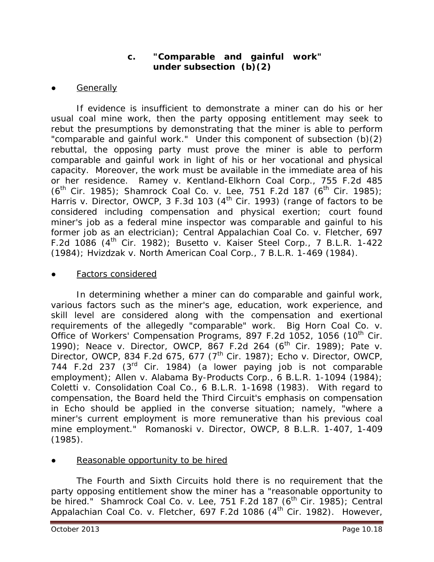## **c. "Comparable and gainful work" under subsection (b)(2)**

#### **Generally**

If evidence is insufficient to demonstrate a miner can do his or her usual coal mine work, then the party opposing entitlement may seek to rebut the presumptions by demonstrating that the miner is able to perform "comparable and gainful work." Under this component of subsection (b)(2) rebuttal, the opposing party must prove the miner is able to perform comparable and gainful work in light of his or her vocational and physical capacity. Moreover, the work must be available in the immediate area of his or her residence. *Ramey v. Kentland-Elkhorn Coal Corp*., 755 F.2d 485 (6<sup>th</sup> Cir. 1985); *Shamrock Coal Co. v. Lee*, 751 F.2d 187 (6<sup>th</sup> Cir. 1985); *Harris v. Director, OWCP,* 3 F.3d 103 (4<sup>th</sup> Cir. 1993) (range of factors to be considered including compensation and physical exertion; court found miner's job as a federal mine inspector was comparable and gainful to his former job as an electrician); *Central Appalachian Coal Co. v. Fletcher*, 697 F.2d 1086 (4th Cir. 1982); *Busetto v. Kaiser Steel Corp*., 7 B.L.R. 1-422 (1984); *Hvizdzak v. North American Coal Corp*., 7 B.L.R. 1-469 (1984).

#### Factors considered

In determining whether a miner can do comparable and gainful work, various factors such as the miner's age, education, work experience, and skill level are considered along with the compensation and exertional requirements of the allegedly "comparable" work. *Big Horn Coal Co. v. Office of Workers' Compensation Programs, 897 F.2d 1052, 1056 (10<sup>th</sup> Cir.* 1990); *Neace v. Director, OWCP*, 867 F.2d 264 (6th Cir. 1989); *Pate v. Director, OWCP*, 834 F.2d 675, 677 (7th Cir. 1987)*; Echo v. Director, OWCP*, 744 F.2d 237 (3rd Cir. 1984) (a lower paying job is not comparable employment); *Allen v. Alabama By-Products Corp*., 6 B.L.R. 1-1094 (1984); *Coletti v. Consolidation Coal Co*., 6 B.L.R. 1-1698 (1983). With regard to compensation, the Board held the Third Circuit's emphasis on compensation in *Echo* should be applied in the converse situation; namely, "where a miner's current employment is more remunerative than his previous coal mine employment." *Romanoski v. Director, OWCP*, 8 B.L.R. 1-407, 1-409 (1985).

#### Reasonable opportunity to be hired

The Fourth and Sixth Circuits hold there is no requirement that the party opposing entitlement show the miner has a "reasonable opportunity to be hired." *Shamrock Coal Co. v. Lee*, 751 F.2d 187 (6<sup>th</sup> Cir. 1985); *Central* Appalachian Coal Co. v. Fletcher, 697 F.2d 1086 (4<sup>th</sup> Cir. 1982). However,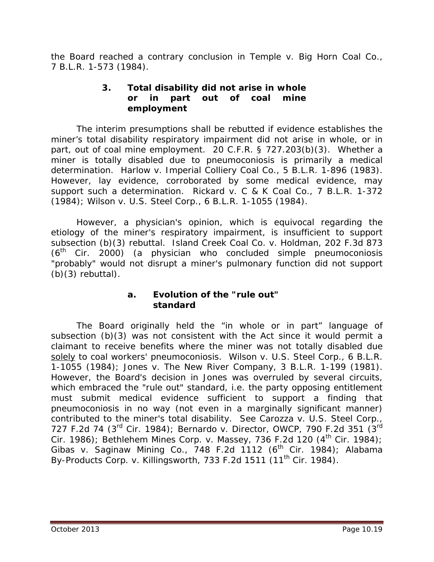the Board reached a contrary conclusion in *Temple v. Big Horn Coal Co*., 7 B.L.R. 1-573 (1984).

#### **3. Total disability did not arise in whole or in part out of coal mine employment**

The interim presumptions shall be rebutted if evidence establishes the miner's total disability respiratory impairment did not arise in whole, or in part, out of coal mine employment. 20 C.F.R. § 727.203(b)(3). Whether a miner is totally disabled due to pneumoconiosis is primarily a medical determination. *Harlow v. Imperial Colliery Coal Co*., 5 B.L.R. 1-896 (1983). However, lay evidence, corroborated by some medical evidence, may support such a determination. *Rickard v. C & K Coal Co*., 7 B.L.R. 1-372 (1984); *Wilson v. U.S. Steel Corp*., 6 B.L.R. 1-1055 (1984).

However, a physician's opinion, which is equivocal regarding the etiology of the miner's respiratory impairment, is insufficient to support subsection (b)(3) rebuttal. *Island Creek Coal Co. v. Holdman*, 202 F.3d 873  $(6<sup>th</sup>$  Cir. 2000) (a physician who concluded simple pneumoconiosis "probably" would not disrupt a miner's pulmonary function did not support  $(b)(3)$  rebuttal).

#### **a. Evolution of the "rule out" standard**

The Board originally held the "in whole or in part" language of subsection (b)(3) was not consistent with the Act since it would permit a claimant to receive benefits where the miner was not totally disabled due solely to coal workers' pneumoconiosis. *Wilson v. U.S. Steel Corp*., 6 B.L.R. 1-1055 (1984); *Jones v. The New River Company*, 3 B.L.R. 1-199 (1981). However, the Board's decision in *Jones* was overruled by several circuits, which embraced the "rule out" standard, *i.e.* the party opposing entitlement must submit medical evidence sufficient to support a finding that pneumoconiosis in no way (not even in a marginally significant manner) contributed to the miner's total disability. *See Carozza v. U.S. Steel Corp*., 727 F.2d 74 (3rd Cir. 1984); *Bernardo v. Director, OWCP*, 790 F.2d 351 (3rd Cir. 1986); *Bethlehem Mines Corp. v. Massey*, 736 F.2d 120 (4<sup>th</sup> Cir. 1984); *Gibas v. Saginaw Mining Co*., 748 F.2d 1112 (6th Cir. 1984); *Alabama By-Products Corp. v. Killingsworth, 733 F.2d 1511 (11<sup>th</sup> Cir. 1984).*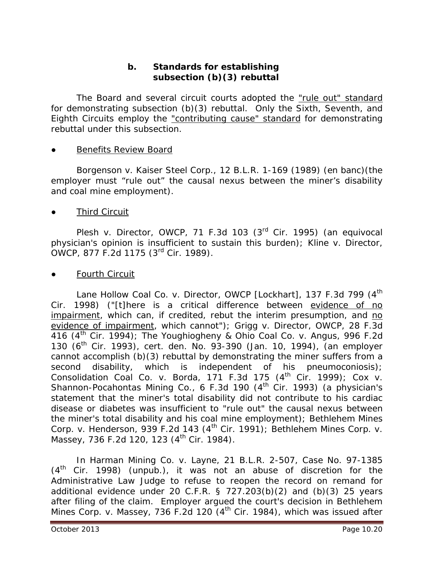## **b. Standards for establishing subsection (b)(3) rebuttal**

The Board and several circuit courts adopted the "rule out" standard for demonstrating subsection (b)(3) rebuttal. Only the Sixth, Seventh, and Eighth Circuits employ the "contributing cause" standard for demonstrating rebuttal under this subsection.

#### **Benefits Review Board**

*Borgenson v. Kaiser Steel Corp.*, 12 B.L.R. 1-169 (1989) (*en banc*)(the employer must "rule out" the causal nexus between the miner's disability and coal mine employment).

Third Circuit

*Plesh v. Director, OWCP*, 71 F.3d 103 (3<sup>rd</sup> Cir. 1995) (an equivocal physician's opinion is insufficient to sustain this burden); *Kline v. Director, OWCP*, 877 F.2d 1175 (3rd Cir. 1989).

**Fourth Circuit** 

*Lane Hollow Coal Co. v. Director, OWCP [Lockhart]*, 137 F.3d 799 (4th Cir. 1998) ("[t]here is a critical difference between evidence of no impairment, which can, if credited, rebut the interim presumption, and no evidence of impairment, which cannot"); *Grigg v. Director, OWCP*, 28 F.3d 416 (4th Cir. 1994); *The Youghiogheny & Ohio Coal Co. v. Angus*, 996 F.2d 130 (6th Cir. 1993), *cert. den.* No. 93-390 (Jan. 10, 1994), (an employer cannot accomplish (b)(3) rebuttal by demonstrating the miner suffers from a second disability, which is independent of his pneumoconiosis); *Consolidation Coal Co. v. Borda*, 171 F.3d 175 (4th Cir. 1999); *Cox v. Shannon-Pocahontas Mining Co.*, 6 F.3d 190 (4<sup>th</sup> Cir. 1993) (a physician's statement that the miner's total disability did not contribute to his cardiac disease or diabetes was insufficient to "rule out" the causal nexus between the miner's total disability and his coal mine employment); *Bethlehem Mines Corp. v. Henderson, 939 F.2d 143 (4<sup>th</sup> Cir. 1991); Bethlehem Mines Corp. v. Massey*, 736 F.2d 120, 123 (4<sup>th</sup> Cir. 1984).

In *Harman Mining Co. v. Layne*, 21 B.L.R. 2-507, Case No. 97-1385  $(4<sup>th</sup>$  Cir. 1998) (unpub.), it was not an abuse of discretion for the Administrative Law Judge to refuse to reopen the record on remand for additional evidence under 20 C.F.R.  $\S$  727.203(b)(2) and (b)(3) 25 years after filing of the claim. Employer argued the court's decision in *Bethlehem Mines Corp. v. Massey*, 736 F.2d 120 (4th Cir. 1984), which was issued after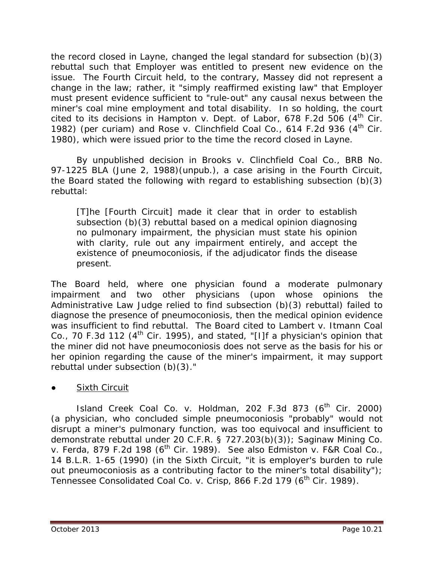the record closed in *Layne*, changed the legal standard for subsection (b)(3) rebuttal such that Employer was entitled to present new evidence on the issue. The Fourth Circuit held, to the contrary, *Massey* did not represent a change in the law; rather, it "simply reaffirmed existing law" that Employer must present evidence sufficient to "rule-out" any causal nexus between the miner's coal mine employment and total disability. In so holding, the court cited to its decisions in *Hampton v. Dept. of Labor*, 678 F.2d 506 (4<sup>th</sup> Cir. 1982) (per curiam) and *Rose v. Clinchfield Coal Co.*, 614 F.2d 936 (4th Cir. 1980), which were issued prior to the time the record closed in *Layne*.

By unpublished decision in *Brooks v. Clinchfield Coal Co.*, BRB No. 97-1225 BLA (June 2, 1988)(unpub.), a case arising in the Fourth Circuit, the Board stated the following with regard to establishing subsection (b)(3) rebuttal:

[T]he [Fourth Circuit] made it clear that in order to establish subsection (b)(3) rebuttal based on a medical opinion diagnosing no pulmonary impairment, the physician must state his opinion with clarity, rule out any impairment entirely, and accept the existence of pneumoconiosis, if the adjudicator finds the disease present.

The Board held, where one physician found a moderate pulmonary impairment and two other physicians (upon whose opinions the Administrative Law Judge relied to find subsection (b)(3) rebuttal) failed to diagnose the presence of pneumoconiosis, then the medical opinion evidence was insufficient to find rebuttal. The Board cited to *Lambert v. Itmann Coal*  Co., 70 F.3d 112 (4<sup>th</sup> Cir. 1995), and stated, "[I]f a physician's opinion that the miner did not have pneumoconiosis does not serve as the basis for his or her opinion regarding the cause of the miner's impairment, it may support rebuttal under subsection (b)(3)."

**Sixth Circuit** 

*Island Creek Coal Co. v. Holdman*, 202 F.3d 873 (6<sup>th</sup> Cir. 2000) (a physician, who concluded simple pneumoconiosis "probably" would not disrupt a miner's pulmonary function, was too equivocal and insufficient to demonstrate rebuttal under 20 C.F.R. § 727.203(b)(3)); *Saginaw Mining Co. v. Ferda*, 879 F.2d 198 (6th Cir. 1989). *See also Edmiston v. F&R Coal Co.*, 14 B.L.R. 1-65 (1990) (in the Sixth Circuit, "it is employer's burden to rule out pneumoconiosis as a contributing factor to the miner's total disability"); *Tennessee Consolidated Coal Co. v. Crisp*, 866 F.2d 179 (6<sup>th</sup> Cir. 1989).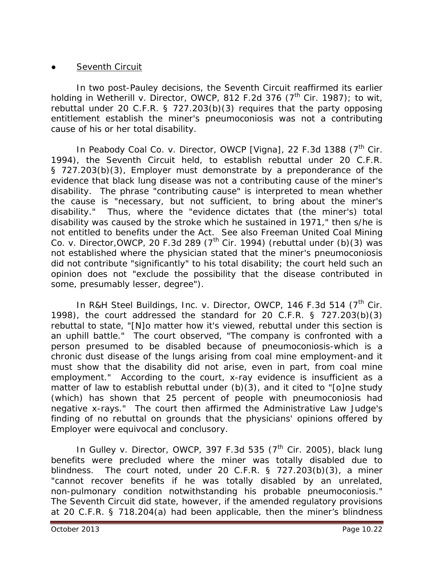#### **Seventh Circuit**

In two post-*Pauley* decisions, the Seventh Circuit reaffirmed its earlier holding in *Wetherill v. Director, OWCP*, 812 F.2d 376 (7<sup>th</sup> Cir. 1987); *to wit*, rebuttal under 20 C.F.R. § 727.203(b)(3) requires that the party opposing entitlement establish the miner's pneumoconiosis was not a contributing cause of his or her total disability.

In *Peabody Coal Co. v. Director, OWCP [Vigna]*, 22 F.3d 1388 (7<sup>th</sup> Cir. 1994), the Seventh Circuit held, to establish rebuttal under 20 C.F.R. § 727.203(b)(3), Employer must demonstrate by a preponderance of the evidence that black lung disease was not a contributing cause of the miner's disability. The phrase "contributing cause" is interpreted to mean whether the cause is "necessary, but not sufficient, to bring about the miner's disability." Thus, where the "evidence dictates that (the miner's) total disability was caused by the stroke which he sustained in 1971," then s/he is not entitled to benefits under the Act. *See also Freeman United Coal Mining Co. v. Director, OWCP*, 20 F.3d 289 (7<sup>th</sup> Cir. 1994) (rebuttal under (b)(3) was not established where the physician stated that the miner's pneumoconiosis did not contribute "significantly" to his total disability; the court held such an opinion does not "exclude the possibility that the disease contributed in some, presumably lesser, degree").

In *R&H Steel Buildings, Inc. v. Director, OWCP*, 146 F.3d 514 (7<sup>th</sup> Cir. 1998), the court addressed the standard for 20 C.F.R. § 727.203(b)(3) rebuttal to state, "[N]o matter how it's viewed, rebuttal under this section is an uphill battle." The court observed, "The company is confronted with a person presumed to be disabled because of pneumoconiosis-which is a chronic dust disease of the lungs arising from coal mine employment-and it must show that the disability did not arise, even in part, from coal mine employment." According to the court, x-ray evidence is insufficient as a matter of law to establish rebuttal under  $(b)(3)$ , and it cited to "[o]ne study (which) has shown that 25 percent of people with pneumoconiosis had negative x-rays." The court then affirmed the Administrative Law Judge's finding of no rebuttal on grounds that the physicians' opinions offered by Employer were equivocal and conclusory.

In *Gulley v. Director, OWCP*, 397 F.3d 535 (7<sup>th</sup> Cir. 2005), black lung benefits were precluded where the miner was totally disabled due to blindness. The court noted, under 20 C.F.R. § 727.203(b)(3), a miner "cannot recover benefits if he was totally disabled by an unrelated, non-pulmonary condition notwithstanding his probable pneumoconiosis." The Seventh Circuit did state, however, if the amended regulatory provisions at 20 C.F.R. § 718.204(a) had been applicable, then the miner's blindness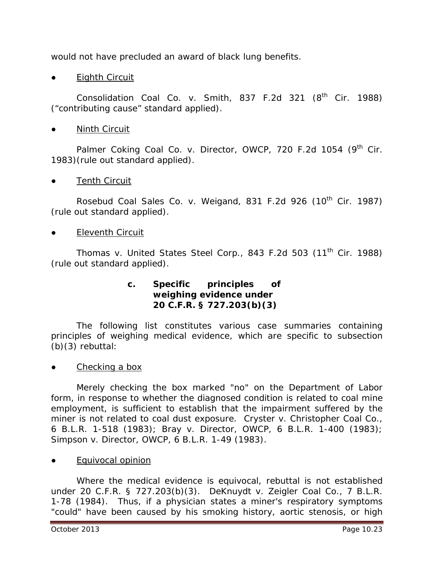would not have precluded an award of black lung benefits.

**Eighth Circuit** 

*Consolidation Coal Co. v. Smith*, 837 F.2d 321 (8<sup>th</sup> Cir. 1988) ("contributing cause" standard applied).

**Ninth Circuit** 

Palmer Coking Coal Co. v. Director, OWCP, 720 F.2d 1054 (9<sup>th</sup> Cir. 1983)(rule out standard applied).

**Tenth Circuit** 

*Rosebud Coal Sales Co. v. Weigand*, 831 F.2d 926 (10<sup>th</sup> Cir. 1987) (rule out standard applied).

**Eleventh Circuit** 

*Thomas v. United States Steel Corp.*, 843 F.2d 503 (11<sup>th</sup> Cir. 1988) (rule out standard applied).

#### **c. Specific principles of weighing evidence under 20 C.F.R. § 727.203(b)(3)**

The following list constitutes various case summaries containing principles of weighing medical evidence, which are specific to subsection (b)(3) rebuttal:

Checking a box

Merely checking the box marked "no" on the Department of Labor form, in response to whether the diagnosed condition is related to coal mine employment, is sufficient to establish that the impairment suffered by the miner is not related to coal dust exposure. *Cryster v. Christopher Coal Co*., 6 B.L.R. 1-518 (1983); *Bray v. Director, OWCP*, 6 B.L.R. 1-400 (1983); *Simpson v. Director, OWCP*, 6 B.L.R. 1-49 (1983).

Equivocal opinion

Where the medical evidence is equivocal, rebuttal is not established under 20 C.F.R. § 727.203(b)(3). *DeKnuydt v. Zeigler Coal Co*., 7 B.L.R. 1-78 (1984). Thus, if a physician states a miner's respiratory symptoms "could" have been caused by his smoking history, aortic stenosis, or high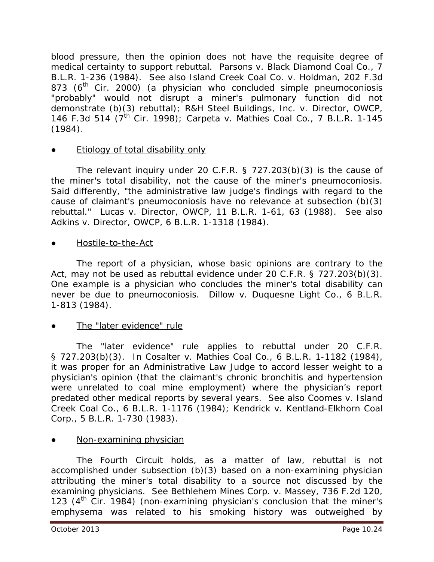blood pressure, then the opinion does not have the requisite degree of medical certainty to support rebuttal. *Parsons v. Black Diamond Coal Co*., 7 B.L.R. 1-236 (1984). *See also Island Creek Coal Co. v. Holdman*, 202 F.3d 873 ( $6<sup>th</sup>$  Cir. 2000) (a physician who concluded simple pneumoconiosis "probably" would not disrupt a miner's pulmonary function did not demonstrate (b)(3) rebuttal); *R&H Steel Buildings, Inc. v. Director, OWCP*, 146 F.3d 514 (7th Cir. 1998); *Carpeta v. Mathies Coal Co*., 7 B.L.R. 1-145 (1984).

# **Etiology of total disability only**

The relevant inquiry under 20 C.F.R. § 727.203(b)(3) is the cause of the miner's total disability, not the cause of the miner's pneumoconiosis. Said differently, "the administrative law judge's findings with regard to the cause of claimant's pneumoconiosis have no relevance at subsection (b)(3) rebuttal." *Lucas v. Director, OWCP*, 11 B.L.R. 1-61, 63 (1988). *See also Adkins v. Director, OWCP*, 6 B.L.R. 1-1318 (1984).

Hostile-to-the-Act

The report of a physician, whose basic opinions are contrary to the Act, may not be used as rebuttal evidence under 20 C.F.R. § 727.203(b)(3). One example is a physician who concludes the miner's total disability can never be due to pneumoconiosis. *Dillow v. Duquesne Light Co*., 6 B.L.R. 1-813 (1984).

The "later evidence" rule

The "later evidence" rule applies to rebuttal under 20 C.F.R. § 727.203(b)(3). In *Cosalter v. Mathies Coal Co*., 6 B.L.R. 1-1182 (1984), it was proper for an Administrative Law Judge to accord lesser weight to a physician's opinion (that the claimant's chronic bronchitis and hypertension were unrelated to coal mine employment) where the physician's report predated other medical reports by several years. *See also Coomes v. Island Creek Coal Co*., 6 B.L.R. 1-1176 (1984); *Kendrick v. Kentland-Elkhorn Coal Corp*., 5 B.L.R. 1-730 (1983).

# Non-examining physician

The Fourth Circuit holds, as a matter of law, rebuttal is not accomplished under subsection (b)(3) based on a non-examining physician attributing the miner's total disability to a source not discussed by the examining physicians. *See Bethlehem Mines Corp. v. Massey*, 736 F.2d 120, 123  $(4<sup>th</sup>$  Cir. 1984) (non-examining physician's conclusion that the miner's emphysema was related to his smoking history was outweighed by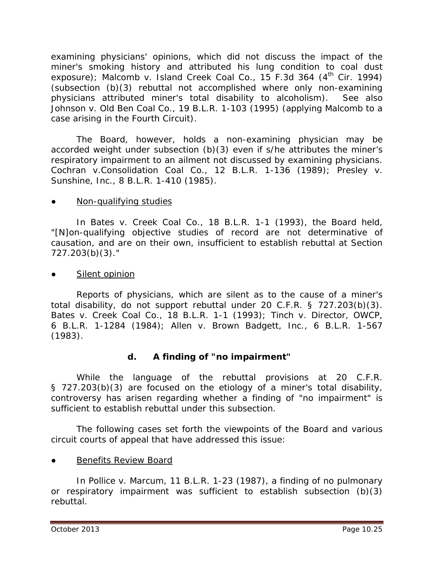examining physicians' opinions, which did not discuss the impact of the miner's smoking history and attributed his lung condition to coal dust exposure); *Malcomb v. Island Creek Coal Co.*, 15 F.3d 364 (4<sup>th</sup> Cir. 1994) (subsection (b)(3) rebuttal not accomplished where only non-examining physicians attributed miner's total disability to alcoholism). *See also Johnson v. Old Ben Coal Co.*, 19 B.L.R. 1-103 (1995) (applying *Malcomb* to a case arising in the Fourth Circuit).

The Board, however, holds a non-examining physician may be accorded weight under subsection (b)(3) even if s/he attributes the miner's respiratory impairment to an ailment not discussed by examining physicians. *Cochran v.Consolidation Coal Co.*, 12 B.L.R. 1-136 (1989); *Presley v. Sunshine, Inc.*, 8 B.L.R. 1-410 (1985).

## • Non-qualifying studies

In *Bates v. Creek Coal Co.*, 18 B.L.R. 1-1 (1993), the Board held, "[N]on-qualifying objective studies of record are not determinative of causation, and are on their own, insufficient to establish rebuttal at Section 727.203(b)(3)."

#### Silent opinion

Reports of physicians, which are silent as to the cause of a miner's total disability, do not support rebuttal under 20 C.F.R. § 727.203(b)(3). *Bates v. Creek Coal Co.*, 18 B.L.R. 1-1 (1993); *Tinch v. Director, OWCP*, 6 B.L.R. 1-1284 (1984); *Allen v. Brown Badgett, Inc*., 6 B.L.R. 1-567 (1983).

# **d. A finding of "no impairment"**

While the language of the rebuttal provisions at 20 C.F.R. § 727.203(b)(3) are focused on the etiology of a miner's total disability, controversy has arisen regarding whether a finding of "no impairment" is sufficient to establish rebuttal under this subsection.

The following cases set forth the viewpoints of the Board and various circuit courts of appeal that have addressed this issue:

Benefits Review Board

In *Pollice v. Marcum*, 11 B.L.R. 1-23 (1987), a finding of no pulmonary or respiratory impairment was sufficient to establish subsection (b)(3) rebuttal.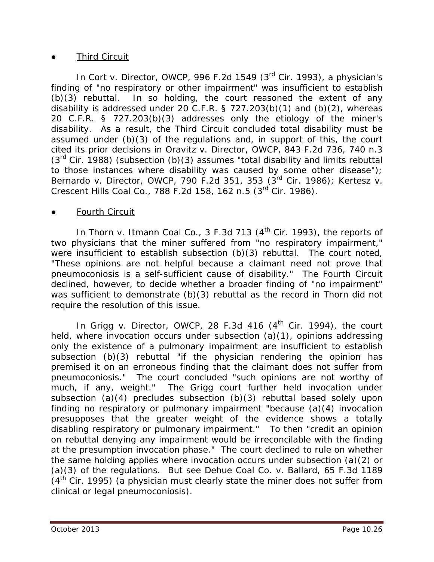#### **Third Circuit**

In *Cort v. Director, OWCP*, 996 F.2d 1549 (3rd Cir. 1993), a physician's finding of "no respiratory or other impairment" was insufficient to establish (b)(3) rebuttal. In so holding, the court reasoned the extent of any disability is addressed under 20 C.F.R. § 727.203(b)(1) and (b)(2), whereas 20 C.F.R. § 727.203(b)(3) addresses only the etiology of the miner's disability. As a result, the Third Circuit concluded total disability must be assumed under (b)(3) of the regulations and, in support of this, the court cited its prior decisions in *Oravitz v. Director, OWCP*, 843 F.2d 736, 740 n.3  $(3<sup>rd</sup>$  Cir. 1988) (subsection (b)(3) assumes "total disability and limits rebuttal to those instances where disability was caused by some other disease"); *Bernardo v. Director, OWCP*, 790 F.2d 351, 353 (3rd Cir. 1986); *Kertesz v. Crescent Hills Coal Co.*, 788 F.2d 158, 162 n.5 (3rd Cir. 1986).

#### **Fourth Circuit**

In *Thorn v. Itmann Coal Co.*, 3 F.3d 713 (4<sup>th</sup> Cir. 1993), the reports of two physicians that the miner suffered from "no respiratory impairment," were insufficient to establish subsection (b)(3) rebuttal. The court noted, "These opinions are not helpful because a claimant need not prove that pneumoconiosis is a self-sufficient cause of disability." The Fourth Circuit declined, however, to decide whether a broader finding of "no impairment" was sufficient to demonstrate (b)(3) rebuttal as the record in *Thorn* did not require the resolution of this issue.

In *Grigg v. Director, OWCP*, 28 F.3d 416 (4<sup>th</sup> Cir. 1994), the court held, where invocation occurs under subsection (a)(1), opinions addressing only the existence of a pulmonary impairment are insufficient to establish subsection (b)(3) rebuttal "if the physician rendering the opinion has premised it on an erroneous finding that the claimant does not suffer from pneumoconiosis." The court concluded "such opinions are not worthy of much, if any, weight." The *Grigg* court further held invocation under subsection (a)(4) precludes subsection (b)(3) rebuttal based solely upon finding no respiratory or pulmonary impairment "because (a)(4) invocation presupposes that the greater weight of the evidence shows a totally disabling respiratory or pulmonary impairment." To then "credit an opinion on rebuttal denying *any* impairment would be irreconcilable with the finding at the presumption invocation phase." The court declined to rule on whether the same holding applies where invocation occurs under subsection (a)(2) or (a)(3) of the regulations. *But see Dehue Coal Co. v. Ballard*, 65 F.3d 1189  $(4<sup>th</sup>$  Cir. 1995) (a physician must clearly state the miner does not suffer from clinical or legal pneumoconiosis).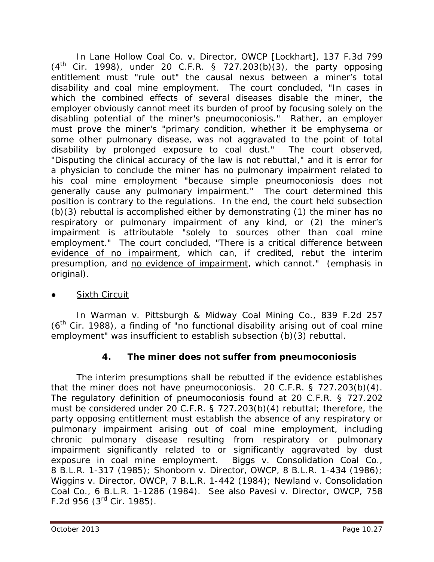In *Lane Hollow Coal Co. v. Director, OWCP [Lockhart]*, 137 F.3d 799  $(4<sup>th</sup>$  Cir. 1998), under 20 C.F.R. § 727.203(b)(3), the party opposing entitlement must "rule out" the causal nexus between a miner's total disability and coal mine employment. The court concluded, "In cases in which the combined effects of several diseases disable the miner, the employer obviously cannot meet its burden of proof by focusing solely on the disabling potential of the miner's pneumoconiosis." Rather, an employer must prove the miner's "primary condition, whether it be emphysema or some other pulmonary disease, was not aggravated to the point of total disability by prolonged exposure to coal dust." The court observed, "Disputing the clinical accuracy of the law is not rebuttal," and it is error for a physician to conclude the miner has no pulmonary impairment related to his coal mine employment "because simple pneumoconiosis does not generally cause any pulmonary impairment." The court determined this position is contrary to the regulations. In the end, the court held subsection (b)(3) rebuttal is accomplished either by demonstrating (1) the miner has no respiratory or pulmonary impairment of any kind, or (2) the miner's impairment is attributable "solely to sources other than coal mine employment." The court concluded, "There is a critical difference between evidence of no impairment, which can, if credited, rebut the interim presumption, and no evidence of impairment, which cannot." (emphasis in original).

# **Sixth Circuit**

In *Warman v. Pittsburgh & Midway Coal Mining Co.*, 839 F.2d 257 (6<sup>th</sup> Cir. 1988), a finding of "no functional disability arising out of coal mine employment" was insufficient to establish subsection (b)(3) rebuttal.

# **4. The miner does not suffer from pneumoconiosis**

The interim presumptions shall be rebutted if the evidence establishes that the miner does not have pneumoconiosis. 20 C.F.R. § 727.203(b)(4). The regulatory definition of pneumoconiosis found at 20 C.F.R. § 727.202 must be considered under 20 C.F.R. § 727.203(b)(4) rebuttal; therefore, the party opposing entitlement must establish the absence of any respiratory or pulmonary impairment arising out of coal mine employment, including chronic pulmonary disease resulting from respiratory or pulmonary impairment significantly related to or significantly aggravated by dust exposure in coal mine employment. *Biggs v. Consolidation Coal Co*., 8 B.L.R. 1-317 (1985); *Shonborn v. Director, OWCP*, 8 B.L.R. 1-434 (1986); *Wiggins v. Director, OWCP*, 7 B.L.R. 1-442 (1984); *Newland v. Consolidation Coal Co*., 6 B.L.R. 1-1286 (1984). *See also Pavesi v. Director, OWCP*, 758 F.2d 956 (3rd Cir. 1985).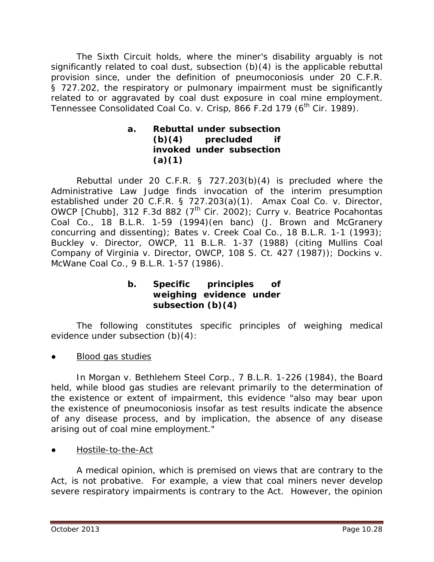The Sixth Circuit holds, where the miner's disability arguably is not significantly related to coal dust, subsection (b)(4) is the applicable rebuttal provision since, under the definition of pneumoconiosis under 20 C.F.R. § 727.202, the respiratory or pulmonary impairment must be significantly related to or aggravated by coal dust exposure in coal mine employment. *Tennessee Consolidated Coal Co. v. Crisp*, 866 F.2d 179 (6th Cir. 1989).

## **a. Rebuttal under subsection (b)(4) precluded if invoked under subsection (a)(1)**

Rebuttal under 20 C.F.R. § 727.203(b)(4) is precluded where the Administrative Law Judge finds invocation of the interim presumption established under 20 C.F.R. § 727.203(a)(1). *Amax Coal Co. v. Director, OWCP [Chubb]*, 312 F.3d 882 (7<sup>th</sup> Cir. 2002); *Curry v. Beatrice Pocahontas Coal Co.*, 18 B.L.R. 1-59 (1994)(*en banc*) (J. Brown and McGranery concurring and dissenting); *Bates v. Creek Coal Co.*, 18 B.L.R. 1-1 (1993); *Buckley v. Director, OWCP*, 11 B.L.R. 1-37 (1988) (*citing Mullins Coal Company of Virginia v. Director, OWCP*, 108 S. Ct. 427 (1987)); *Dockins v. McWane Coal Co*., 9 B.L.R. 1-57 (1986).

#### **b. Specific principles of weighing evidence under subsection (b)(4)**

The following constitutes specific principles of weighing medical evidence under subsection (b)(4):

**Blood gas studies** 

In *Morgan v. Bethlehem Steel Corp*., 7 B.L.R. 1-226 (1984), the Board held, while blood gas studies are relevant primarily to the determination of the existence or extent of impairment, this evidence "also may bear upon the existence of pneumoconiosis insofar as test results indicate the absence of any disease process, and by implication, the absence of any disease arising out of coal mine employment."

● Hostile-to-the-Act

A medical opinion, which is premised on views that are contrary to the Act, is not probative. For example, a view that coal miners never develop severe respiratory impairments is contrary to the Act. However, the opinion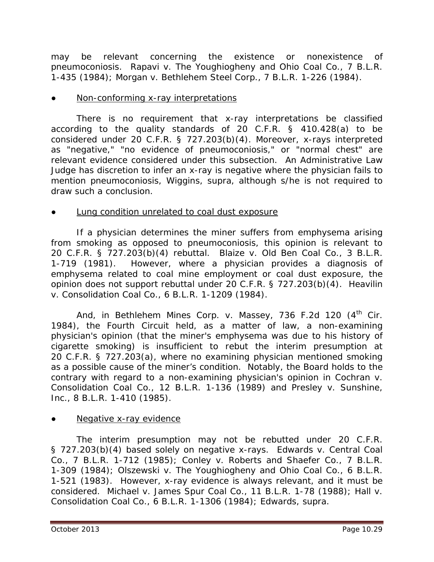may be relevant concerning the existence or nonexistence of pneumoconiosis. *Rapavi v. The Youghiogheny and Ohio Coal Co*., 7 B.L.R. 1-435 (1984); *Morgan v. Bethlehem Steel Corp*., 7 B.L.R. 1-226 (1984).

#### Non-conforming x-ray interpretations

There is no requirement that x-ray interpretations be classified according to the quality standards of 20 C.F.R. § 410.428(a) to be considered under 20 C.F.R. § 727.203(b)(4). Moreover, x-rays interpreted as "negative," "no evidence of pneumoconiosis," or "normal chest" are relevant evidence considered under this subsection. An Administrative Law Judge has discretion to infer an x-ray is negative where the physician fails to mention pneumoconiosis, *Wiggins*, *supra,* although s/he is not required to draw such a conclusion.

#### Lung condition unrelated to coal dust exposure

If a physician determines the miner suffers from emphysema arising from smoking as opposed to pneumoconiosis, this opinion is relevant to 20 C.F.R. § 727.203(b)(4) rebuttal. *Blaize v. Old Ben Coal Co*., 3 B.L.R. 1-719 (1981). However, where a physician provides a diagnosis of emphysema related to coal mine employment or coal dust exposure, the opinion does not support rebuttal under 20 C.F.R. § 727.203(b)(4). *Heavilin v. Consolidation Coal Co*., 6 B.L.R. 1-1209 (1984).

And, in *Bethlehem Mines Corp. v. Massey*, 736 F.2d 120 (4<sup>th</sup> Cir. 1984), the Fourth Circuit held, as a matter of law, a non-examining physician's opinion (that the miner's emphysema was due to his history of cigarette smoking) is insufficient to rebut the interim presumption at 20 C.F.R. § 727.203(a), where no examining physician mentioned smoking as a possible cause of the miner's condition. Notably, the Board holds to the contrary with regard to a non-examining physician's opinion in *Cochran v. Consolidation Coal Co.*, 12 B.L.R. 1-136 (1989) and *Presley v. Sunshine, Inc.*, 8 B.L.R. 1-410 (1985).

#### Negative x-ray evidence

The interim presumption may not be rebutted under 20 C.F.R. § 727.203(b)(4) based solely on negative x-rays. *Edwards v. Central Coal Co*., 7 B.L.R. 1-712 (1985); *Conley v. Roberts and Shaefer Co*., 7 B.L.R. 1-309 (1984); *Olszewski v. The Youghiogheny and Ohio Coal Co*., 6 B.L.R. 1-521 (1983). However, x-ray evidence is always relevant, and it must be considered. *Michael v. James Spur Coal Co*., 11 B.L.R. 1-78 (1988); *Hall v. Consolidation Coal Co*., 6 B.L.R. 1-1306 (1984); *Edwards*, *supra*.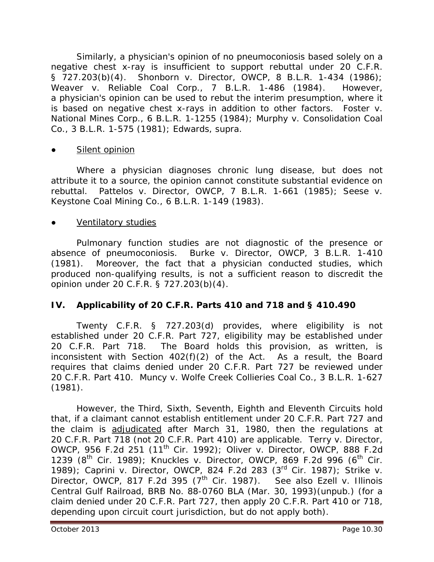Similarly, a physician's opinion of no pneumoconiosis based solely on a negative chest x-ray is insufficient to support rebuttal under 20 C.F.R. § 727.203(b)(4). *Shonborn v. Director, OWCP*, 8 B.L.R. 1-434 (1986); *Weaver v. Reliable Coal Corp*., 7 B.L.R. 1-486 (1984). However, a physician's opinion can be used to rebut the interim presumption, where it is based on negative chest x-rays in addition to other factors. *Foster v. National Mines Corp*., 6 B.L.R. 1-1255 (1984); *Murphy v. Consolidation Coal Co*., 3 B.L.R. 1-575 (1981); *Edwards*, *supra*.

#### Silent opinion

Where a physician diagnoses chronic lung disease, but does not attribute it to a source, the opinion cannot constitute substantial evidence on rebuttal. *Pattelos v. Director, OWCP*, 7 B.L.R. 1-661 (1985); *Seese v. Keystone Coal Mining Co*., 6 B.L.R. 1-149 (1983).

#### Ventilatory studies

Pulmonary function studies are not diagnostic of the presence or absence of pneumoconiosis. *Burke v. Director, OWCP*, 3 B.L.R. 1-410 (1981). Moreover, the fact that a physician conducted studies, which produced non-qualifying results, is not a sufficient reason to discredit the opinion under 20 C.F.R. § 727.203(b)(4).

#### **IV. Applicability of 20 C.F.R. Parts 410 and 718 and § 410.490**

Twenty C.F.R. § 727.203(d) provides, where eligibility is not established under 20 C.F.R. Part 727, eligibility may be established under 20 C.F.R. Part 718. The Board holds this provision, as written, is inconsistent with Section 402(f)(2) of the Act. As a result, the Board requires that claims denied under 20 C.F.R. Part 727 be reviewed under 20 C.F.R. Part 410. *Muncy v. Wolfe Creek Collieries Coal Co.*, 3 B.L.R. 1-627 (1981).

However, the Third, Sixth, Seventh, Eighth and Eleventh Circuits hold that, if a claimant cannot establish entitlement under 20 C.F.R. Part 727 and the claim is adjudicated after March 31, 1980, then the regulations at 20 C.F.R. Part 718 (not 20 C.F.R. Part 410) are applicable. *Terry v. Director, OWCP*, 956 F.2d 251 (11<sup>th</sup> Cir. 1992); *Oliver v. Director, OWCP*, 888 F.2d 1239 (8<sup>th</sup> Cir. 1989); *Knuckles v. Director, OWCP*, 869 F.2d 996 (6<sup>th</sup> Cir. 1989); *Caprini v. Director, OWCP*, 824 F.2d 283 (3rd Cir. 1987); *Strike v. Director, OWCP*, 817 F.2d 395 (7th Cir. 1987). *See also Ezell v. Illinois Central Gulf Railroad*, BRB No. 88-0760 BLA (Mar. 30, 1993)(unpub.) (for a claim denied under 20 C.F.R. Part 727, then apply 20 C.F.R. Part 410 or 718, depending upon circuit court jurisdiction, but do not apply both).